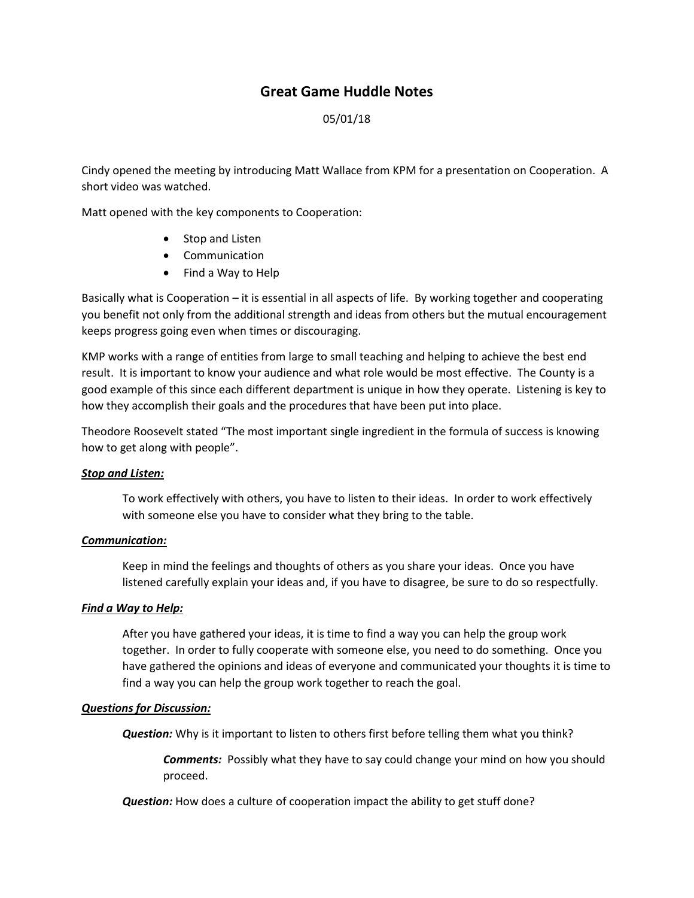# **Great Game Huddle Notes**

### 05/01/18

Cindy opened the meeting by introducing Matt Wallace from KPM for a presentation on Cooperation. A short video was watched.

Matt opened with the key components to Cooperation:

- Stop and Listen
- Communication
- Find a Way to Help

Basically what is Cooperation – it is essential in all aspects of life. By working together and cooperating you benefit not only from the additional strength and ideas from others but the mutual encouragement keeps progress going even when times or discouraging.

KMP works with a range of entities from large to small teaching and helping to achieve the best end result. It is important to know your audience and what role would be most effective. The County is a good example of this since each different department is unique in how they operate. Listening is key to how they accomplish their goals and the procedures that have been put into place.

Theodore Roosevelt stated "The most important single ingredient in the formula of success is knowing how to get along with people".

#### *Stop and Listen:*

To work effectively with others, you have to listen to their ideas. In order to work effectively with someone else you have to consider what they bring to the table.

#### *Communication:*

Keep in mind the feelings and thoughts of others as you share your ideas. Once you have listened carefully explain your ideas and, if you have to disagree, be sure to do so respectfully.

#### *Find a Way to Help:*

After you have gathered your ideas, it is time to find a way you can help the group work together. In order to fully cooperate with someone else, you need to do something. Once you have gathered the opinions and ideas of everyone and communicated your thoughts it is time to find a way you can help the group work together to reach the goal.

#### *Questions for Discussion:*

*Question:* Why is it important to listen to others first before telling them what you think?

*Comments:* Possibly what they have to say could change your mind on how you should proceed.

*Question:* How does a culture of cooperation impact the ability to get stuff done?